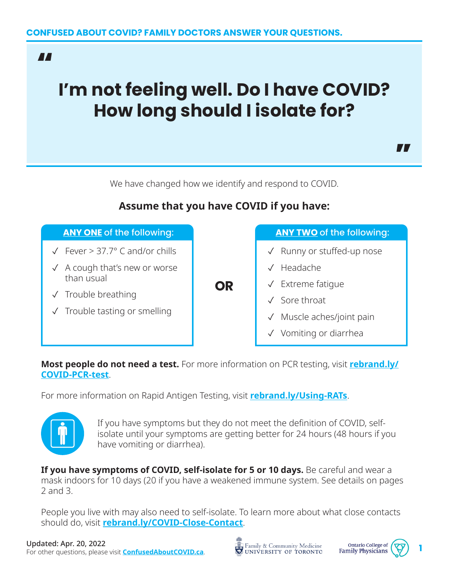### "

# **I'm not feeling well. Do I have COVID? How long should I isolate for?**



We have changed how we identify and respond to COVID.

#### ✓ Fever > 37.7° C and/or chills ✓ A cough that's new or worse than usual ✓ Trouble breathing ✓ Trouble tasting or smelling ✓ Runny or stuffed-up nose ✓ Headache ✓ Extreme fatigue ✓ Sore throat Muscle aches/joint pain ✓ Vomiting or diarrhea **OR ANY ONE** of the following: **ANY TWO** of the following:

## **Assume that you have COVID if you have:**

**Most people do not need a test.** For more information on PCR testing, visit **[rebrand.ly/](http://rebrand.ly/COVID-PCR-test) [COVID-PCR-test](http://rebrand.ly/COVID-PCR-test)**.

For more information on Rapid Antigen Testing, visit **[rebrand.ly/Using-RATs](http://rebrand.ly/Using-RATs)**.



If you have symptoms but they do not meet the definition of COVID, selfisolate until your symptoms are getting better for 24 hours (48 hours if you have vomiting or diarrhea).

**If you have symptoms of COVID, self-isolate for 5 or 10 days.** Be careful and wear a mask indoors for 10 days (20 if you have a weakened immune system. See details on pages 2 and 3.

People you live with may also need to self-isolate. To learn more about what close contacts should do, visit **[rebrand.ly/COVID-Close-Contact](http://rebrand.ly/COVID-Close-Contact)**.



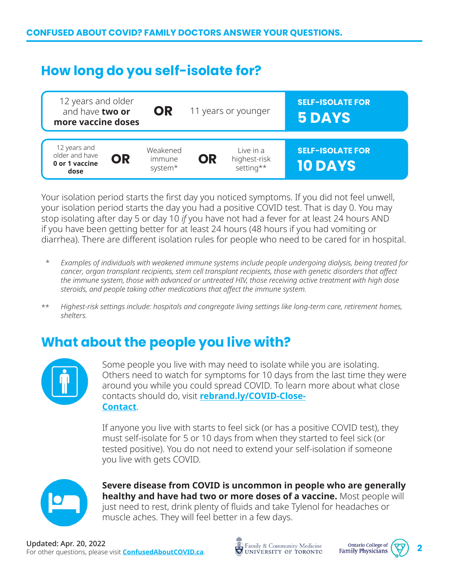# **How long do you self-isolate for?**



Your isolation period starts the first day you noticed symptoms. If you did not feel unwell, your isolation period starts the day you had a positive COVID test. That is day 0. You may stop isolating after day 5 or day 10 *if* you have not had a fever for at least 24 hours AND if you have been getting better for at least 24 hours (48 hours if you had vomiting or diarrhea). There are different isolation rules for people who need to be cared for in hospital.

- *Examples of individuals with weakened immune systems include people undergoing dialysis, being treated for cancer, organ transplant recipients, stem cell transplant recipients, those with genetic disorders that affect the immune system, those with advanced or untreated HIV, those receiving active treatment with high dose steroids, and people taking other medications that affect the immune system.* \*
- *Highest-risk settings include: hospitals and congregate living settings like long-term care, retirement homes, shelters.* \*\*

# **What about the people you live with?**



Some people you live with may need to isolate while you are isolating. Others need to watch for symptoms for 10 days from the last time they were around you while you could spread COVID. To learn more about what close contacts should do, visit **[rebrand.ly/COVID-Close-](http://rebrand.ly/COVID-Close- Contact)[Contact](http://rebrand.ly/COVID-Close- Contact)**.

If anyone you live with starts to feel sick (or has a positive COVID test), they must self-isolate for 5 or 10 days from when they started to feel sick (or tested positive). You do not need to extend your self-isolation if someone you live with gets COVID.



**Severe disease from COVID is uncommon in people who are generally healthy and have had two or more doses of a vaccine.** Most people will just need to rest, drink plenty of fluids and take Tylenol for headaches or muscle aches. They will feel better in a few days.